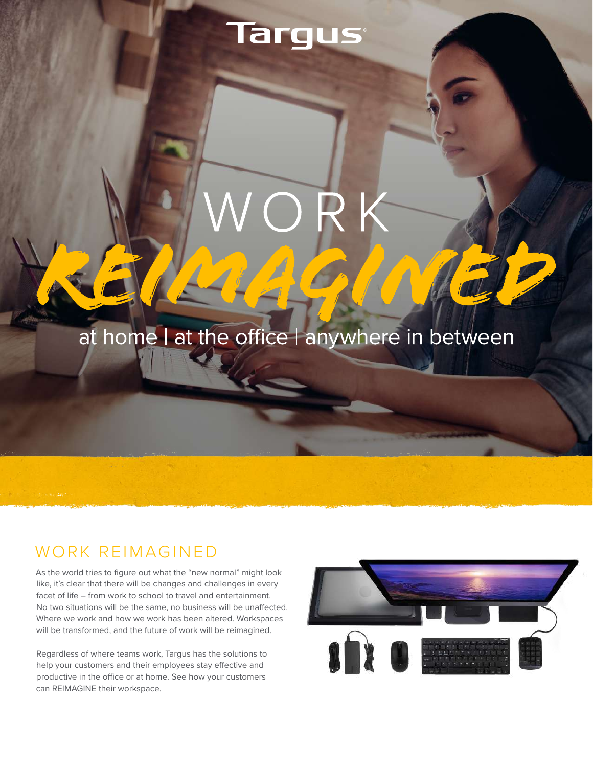# Targus

at home I at the office I anywhere in between

#### WORK REIMAGINED

As the world tries to figure out what the "new normal" might look like, it's clear that there will be changes and challenges in every facet of life – from work to school to travel and entertainment. No two situations will be the same, no business will be unaffected. Where we work and how we work has been altered. Workspaces will be transformed, and the future of work will be reimagined.

Regardless of where teams work, Targus has the solutions to help your customers and their employees stay effective and productive in the office or at home. See how your customers can REIMAGINE their workspace.

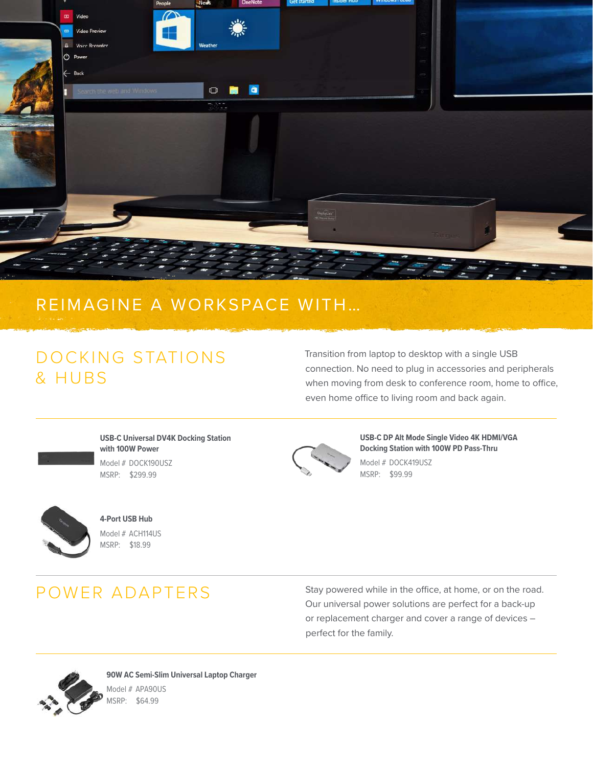

#### REIMAGINE A WORKSPACE WITH…

## DOCKING STATIONS & HUBS

Model # AWEST # AWEST # AWEST # AWEST # AWEST # AWEST # AWEST # AWEST # AWEST # AWEST # AWEST # AWEST # AWEST

Transition from laptop to desktop with a single USB connection. No need to plug in accessories and peripherals when moving from desk to conference room, home to office, even home office to living room and back again.



**USB-C Universal DV4K Docking Station with 100W Power**  $\text{Model} \# \text{DOCK190USZ}$ MSRP: \$299.99 **Cable Lock – 1 Pack**



**USB-C DP Alt Mode Single Video 4K HDMI/VGA Docking Station with 100W PD Pass-Thru** Model # DOCK419USZ MSRP: \$99.99 **Cable Lock**



**4-Port USB Hub** Model # ACH114US moder # Actin<sub>1</sub>405<br>MSRP: \$18.99 **Cable Lock**

MSRP: \$29.99

# **LOCKS** POWER ADAPTERS

**Cable Lock**

Stay powered while in the office, at home, or on the road. Our universal power solutions are perfect for a back-up or replacement charger and cover a range of devices – perfect for the family.

**Cable Lock**



Model # ASP66GLX **90W AC Semi-Slim Universal Laptop Charger** Model # APA90US MSRP: \$64.99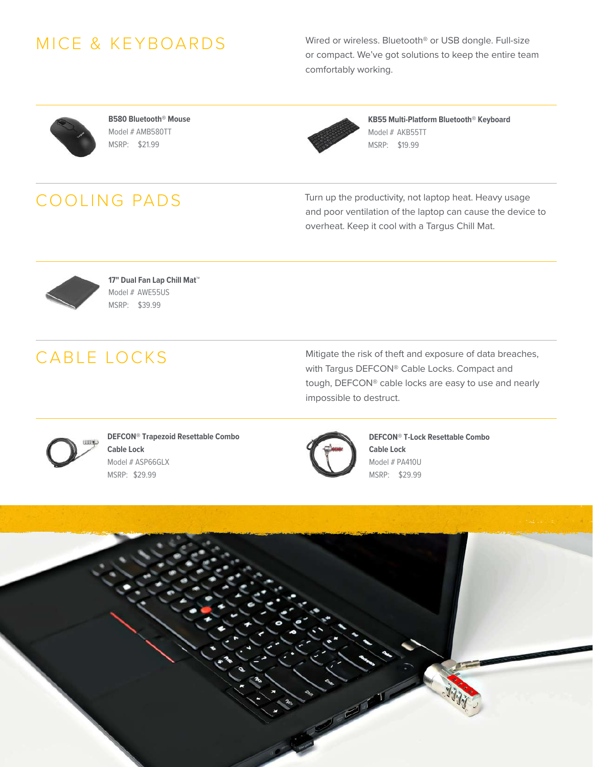## **USB Optical Laptop Mouse** MICE & KEYBOARDS

**W575 Wireless Mouse**   $\mathcal{M}$  $n$ nsing. or compact. We've got solutions to keep the entire team Model # AMB comfortably working. Wired or wireless. Bluetooth® or USB dongle. Full-size



**B580 Bluetooth® Mouse**  Model # AMB580TT MSRP: \$21.99



**Compact BlueTrace Mouse KB55 Multi-Platform Bluetooth® Keyboard**  Model # AKB55TT MSRP: \$15.99 MSRP: \$19.99

### COOLING PADS

Turn up the productivity, not laptop heat. Heavy usage and poor ventilation of the laptop can cause the device to overheat. Keep it cool with a Targus Chill Mat.



Features and specifications are subject to change without notice. All trademarks and registered trademarks are the property of their respective owners. All **targus.com** rights reserved. © 2020 Targus, 1211 N. Miller Street, Anaheim, CA 92806. MSRP: \$39.99 **17" Dual Fan Lap Chill Mat™**  Model # AWE55US

#### $\overline{\phantom{a}}$   $\overline{\phantom{a}}$   $\overline{\phantom{a}}$   $\overline{\phantom{a}}$   $\overline{\phantom{a}}$   $\overline{\phantom{a}}$   $\overline{\phantom{a}}$   $\overline{\phantom{a}}$   $\overline{\phantom{a}}$   $\overline{\phantom{a}}$   $\overline{\phantom{a}}$   $\overline{\phantom{a}}$   $\overline{\phantom{a}}$   $\overline{\phantom{a}}$   $\overline{\phantom{a}}$   $\overline{\phantom{a}}$   $\overline{\phantom{a}}$   $\overline{\phantom{a}}$   $\overline{\$ CABLE LOCKS **Cable Lock – 25 pack**

Mitigate the risk of theft and exposure of data breaches, with Targus DEFCON® Cable Locks. Compact and **Cable Lock**  tough, DEFCON® cable locks are easy to use and nearly impossible to destruct.



**DEFCON® Trapezoid Resettable Combo Cable Lock Cable Lock – 1 Pack**

> **USB-C™ UNIVERSAL DOCKING with Power** MSRP: \$29.99 MSRP: \$29.99 Model # ASP66GLX



**WOOD** DIVIIOO **MSRP: \$29.99 DEFCON® T-Lock Resettable Combo Cable Lock** Model # PA410U

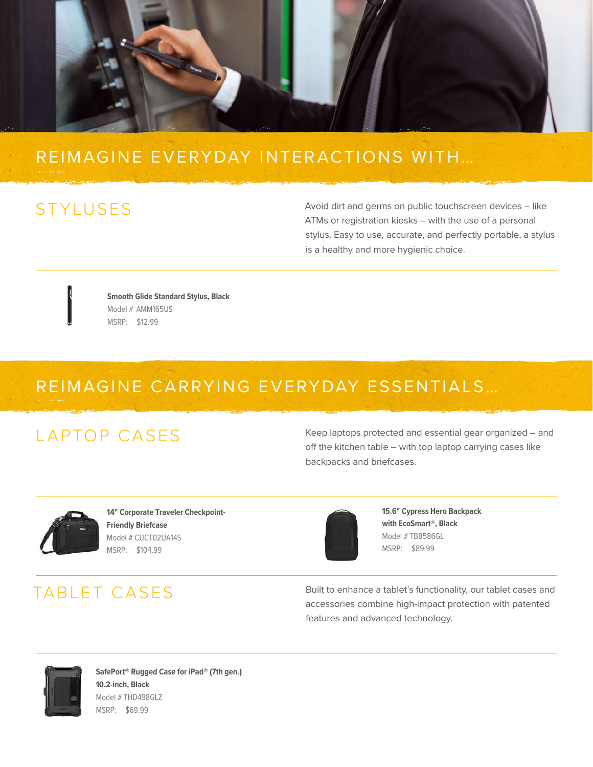

#### **13-14" Cypress Sleeve with 14" Cypress Slimcase with**  REIMAGINE EVERYDAY INTERACTIONS WITH…

## STYLUSES

Avoid dirt and germs on public touchscreen devices - like ATMs or registration kiosks – with the use of a personal stylus. Easy to use, accurate, and perfectly portable, a stylus is a healthy and more hygienic choice.

Model # TBS646GLACK

**Friendly Briefcase** 

**Smooth Glide Standard Stylus, Black** Model # AMM165US MSRP: \$12.99 **SOFT CASES**

**14" Corporate Traveler Checkpoint-**

**15.6" Active Commuter Backpack**

Model # TBT248US

Model # TBS92602GL # TBS92602GL # TBS92602GL

#### $M_{\odot}$ REIMAGINE CARRYING EVERYDAY ESSENTIALS... Model # TSB238US INF CARRYING EVERYDAY ESSENT  $M_{\odot}$  Model  $M_{\odot}$ MSRP: \$21.99

#### $L$ APTOP CASES **Friendly Backpack 11.6" Work-in Case for Chromebook™/Notebooks**

Keep laptops protected and essential gear organized – and off the kitchen table – with top laptop carrying cases like backpacks and briefcases. Model # TED006GL

**16" Drifter II Backpack, Black/Gray**

**Hideaway Handles** 



**14" Corporate Traveler Checkpoint-Friendly Briefcase 13"-14" Work-in Essentials Case**  Model # CUCT02UA14S **for Chromebook™** MSRP: \$104.99

## **15.6" CityLite Briefcase**  TABLET CASES

rights reserved. © 2020 Targus, 1211 N. Miller Street, Anaheim, CA 92806.

 $CICASES.$ 



**Friendly Briefcase 15.6" Cypress Hero Backpack**  with EcoSmart®, Black Model # TBB586GL MSRP: \$89.99

**15.6" Classic Slim Briefcase**  Built to enhance a tablet's functionality, our tablet cases and accessories combine high-impact protection with patented features and advanced technology.



**12.1"Intellect Slim Briefcase for Notebook/Chromebook SafePort® Rugged Case for iPad® (7th gen.)**  10.2 men, Black<br>Model # THD498GLZ MSRP: \$69.99 **10.2-inch, Black**